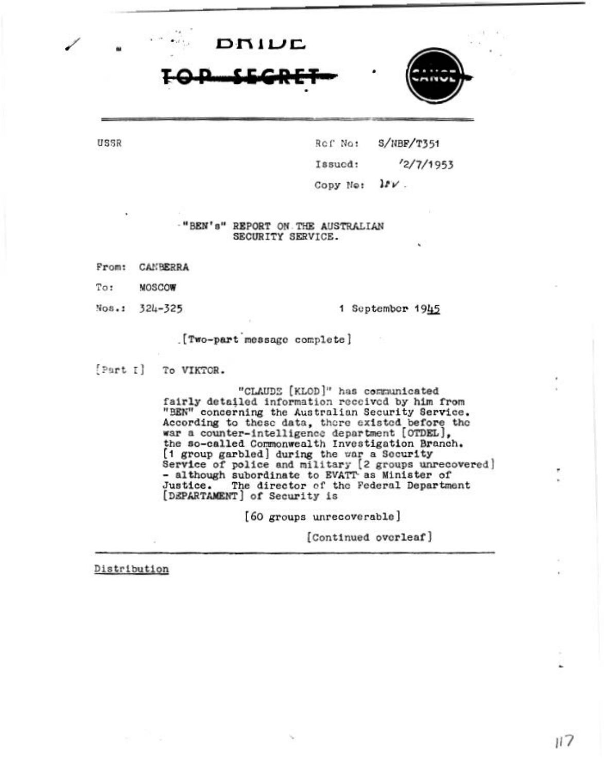# DRIVE



 $S/NBF/T351$ Rof No:  $12/7/1953$ Issued:  $18V$ . Copy No:

."BEN's" REPORT ON THE AUSTRALIAN SECURITY SERVICE.

From: CANBERRA

MOSCOW To:

USSR

Nos.: 324-325

1 September 1945

[Two-part message complete]

[Part I] To VIKTOR.

"CLAUDE [KLOD]" has communicated<br>fairly detailed information received by him from "BEN" concerning the Australian Security Service. According to these data, there existed before the war a counter-intelligence department [OTDEL], the so-called Commonwealth Investigation Branch. [1 group garbled] during the war a Security<br>Service of police and military [2 groups unrecovered] - although subordinate to EVATT as Minister of Justice. The director of the Federal Department [DEPARTAMENT] of Security is

[60 groups unrecoverable]

[Continued overleaf]

Distribution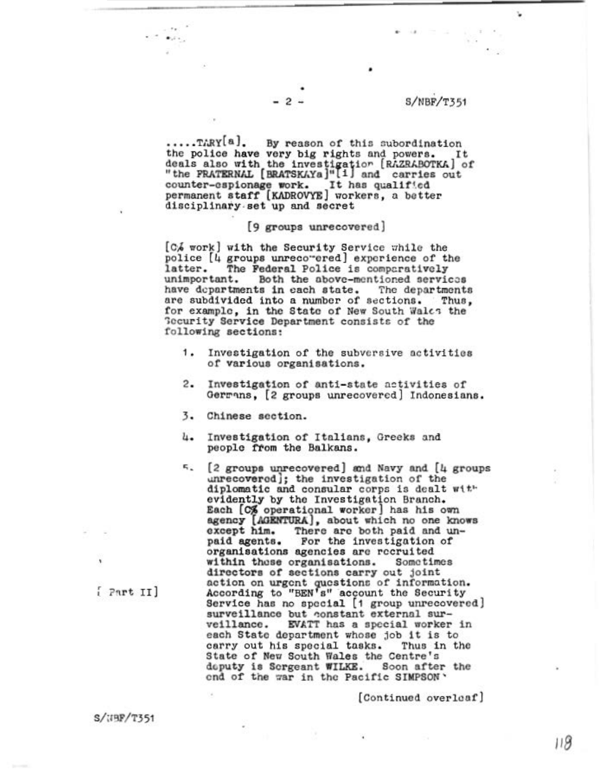# $S/NBF/T351$

 $\ldots$  $\ldots$  $\ldots$  $\ldots$  $\ldots$  $\ldots$ By reason of this subordination the police have very big rights and powers. **It** deals also with the investigation [RAZRABOTKA] of "the FRATERNAL [BRATSKAYa]"[1] and carries out counter-espionage work. It has qualified<br>permanent staff [KADROVYE] workers, a better disciplinary set up and secret

#### [9 groups unrecovered]

[C% work] with the Security Service while the police [4 groups unreco"ered] experience of the latter. The Federal Police is comparatively unimportant. Both the above-mentioned services have departments in each state. The departments are subdivided into a number of sections. Thus, for example, in the State of New South Walcs the Gocurity Service Department consists of the following sections:

- Investigation of the subversive activities 1. of various organisations.
- $2.$ Investigation of anti-state activities of Gerrans, [2 groups unrecovered] Indonesians.
- $\overline{3}$ . Chinese section.
- 4. Investigation of Italians, Greeks and people from the Balkans.
- п. [2 groups unrecovered] and Navy and [4 groups unrecovered]; the investigation of the diplomatic and consular corps is dealt with evidently by the Investigation Branch. Each [C% operational worker] has his own<br>agency [AGENTURA], about which no one knows except him. There are both paid and un-For the investigation of paid agents. organisations agencies are recruited within these organisations. Sometimes directors of sections carry out joint action on urgent questions of information.<br>According to "BEN's" account the Security<br>Service has no special [1 group unrecovered] surveillance but constant external surveillance. EVATT has a special worker in each State department whose job it is to carry out his special tasks. Thus in the State of New South Wales the Centre's deputy is Sorgeant WILKE. Soon after the end of the war in the Pacific SIMPSON'

[Continued overleaf]

 $[$  Part II]

 $S/$  $IBF/T351$ 

 $118$ 

 $.5.1$